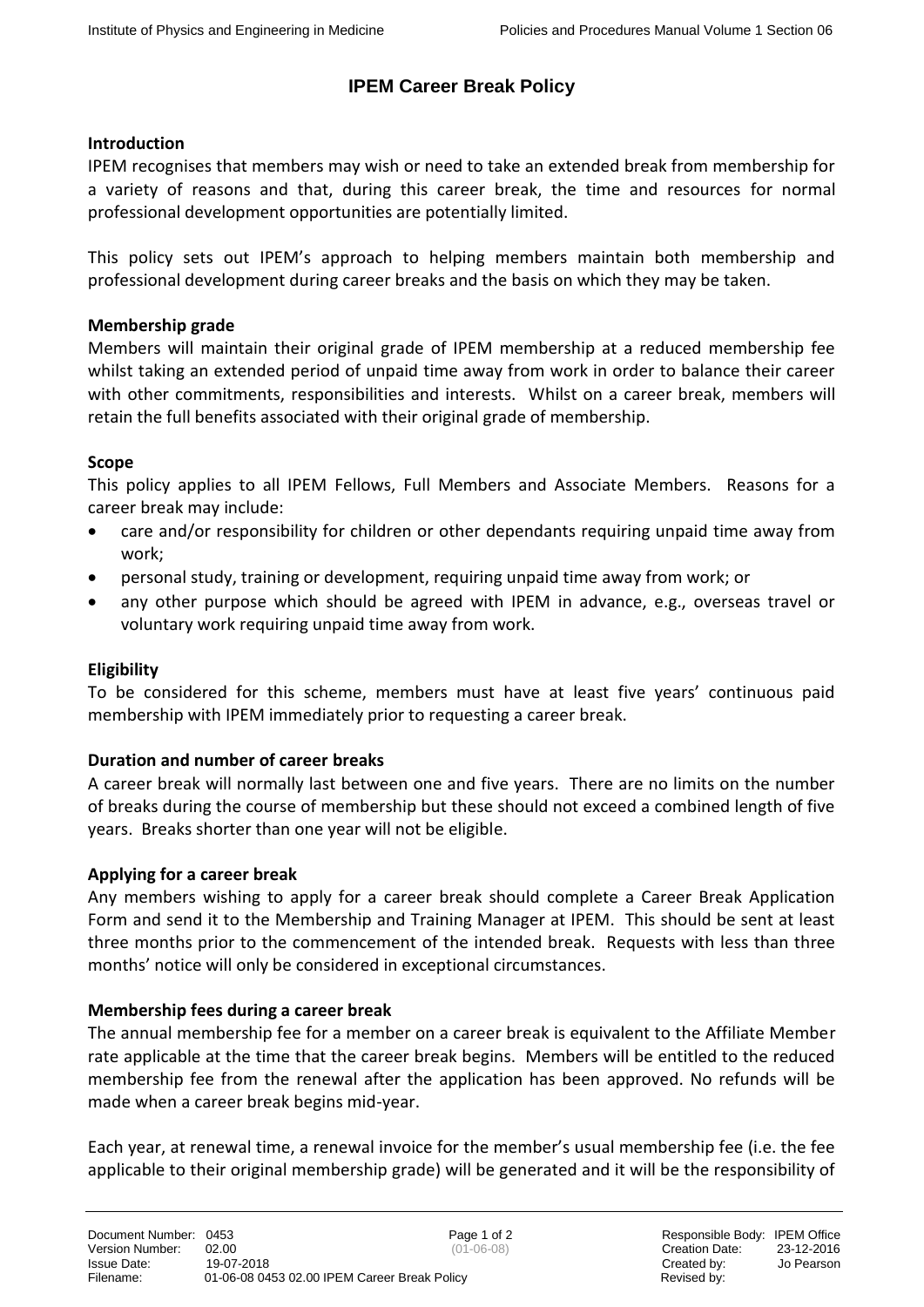# **IPEM Career Break Policy**

## **Introduction**

IPEM recognises that members may wish or need to take an extended break from membership for a variety of reasons and that, during this career break, the time and resources for normal professional development opportunities are potentially limited.

This policy sets out IPEM's approach to helping members maintain both membership and professional development during career breaks and the basis on which they may be taken.

## **Membership grade**

Members will maintain their original grade of IPEM membership at a reduced membership fee whilst taking an extended period of unpaid time away from work in order to balance their career with other commitments, responsibilities and interests. Whilst on a career break, members will retain the full benefits associated with their original grade of membership.

## **Scope**

This policy applies to all IPEM Fellows, Full Members and Associate Members. Reasons for a career break may include:

- care and/or responsibility for children or other dependants requiring unpaid time away from work;
- personal study, training or development, requiring unpaid time away from work; or
- any other purpose which should be agreed with IPEM in advance, e.g., overseas travel or voluntary work requiring unpaid time away from work.

# **Eligibility**

To be considered for this scheme, members must have at least five years' continuous paid membership with IPEM immediately prior to requesting a career break.

# **Duration and number of career breaks**

A career break will normally last between one and five years. There are no limits on the number of breaks during the course of membership but these should not exceed a combined length of five years. Breaks shorter than one year will not be eligible.

#### **Applying for a career break**

Any members wishing to apply for a career break should complete a Career Break Application Form and send it to the Membership and Training Manager at IPEM. This should be sent at least three months prior to the commencement of the intended break. Requests with less than three months' notice will only be considered in exceptional circumstances.

#### **Membership fees during a career break**

The annual membership fee for a member on a career break is equivalent to the Affiliate Member rate applicable at the time that the career break begins. Members will be entitled to the reduced membership fee from the renewal after the application has been approved. No refunds will be made when a career break begins mid-year.

Each year, at renewal time, a renewal invoice for the member's usual membership fee (i.e. the fee applicable to their original membership grade) will be generated and it will be the responsibility of